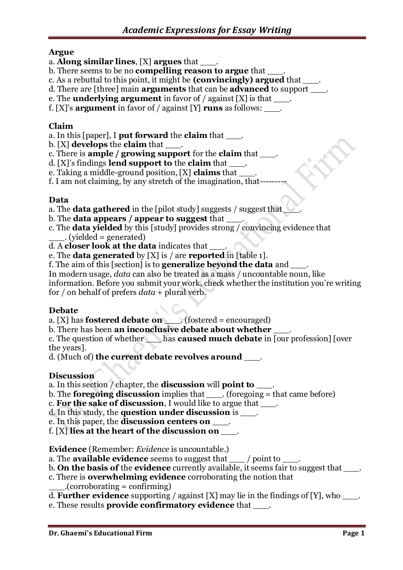# **Argue**

- a. **Along similar lines**, [X] **argues** that \_\_\_.
- b. There seems to be no **compelling reason to argue** that  $\qquad$ .
- c. As a rebuttal to this point, it might be **(convincingly) argued** that \_\_\_.
- d. There are [three] main **arguments** that can be **advanced** to support \_\_\_.
- e. The **underlying argument** in favor of / against [X] is that \_\_\_.

f. [X]'s **argument** in favor of / against [Y] **runs** as follows: \_\_\_.

# **Claim**

- a. In this [paper], I **put forward** the **claim** that  $\qquad$ .
- b. [X] **develops** the **claim** that \_\_\_.
- c. There is **ample / growing support** for the **claim** that \_\_\_.
- d. [X]'s findings **lend support to** the **claim** that \_\_\_.
- e. Taking a middle-ground position, [X] **claims** that \_\_\_.

f. I am not claiming, by any stretch of the imagination, that---------

# **Data**

- a. The **data gathered** in the [pilot study] suggests / suggest that
- b. The **data appears / appear to suggest** that \_\_\_.
- c. The **data yielded** by this [study] provides strong / convincing evidence that  $\ldots$  (yielded = generated)
- d. A **closer look at the data** indicates that \_\_\_.
- e. The **data generated** by [X] is / are **reported** in [table 1].
- f. The aim of this [section] is to **generalize beyond the data** and \_\_\_.

In modern usage, *data* can also be treated as a mass / uncountable noun, like information. Before you submit your work, check whether the institution you're writing for / on behalf of prefers *data* + plural verb.

# **Debate**

- a. [X] has **fostered debate on** \_\_\_. (fostered = encouraged)
- b. There has been **an inconclusive debate about whether** \_\_\_.

c. The question of whether \_\_\_ has **caused much debate** in [our profession] [over the years].

d. (Much of) **the current debate revolves around** \_\_\_.

# **Discussion**

a. In this section / chapter, the **discussion** will **point to** 

- b. The **foregoing discussion** implies that \_\_\_. (foregoing = that came before)
- c. **For the sake of discussion**, I would like to argue that \_\_\_.
- d. In this study, the **question under discussion** is  $\blacksquare$ .
- e. In this paper, the **discussion centers on** \_\_\_.
- f. [X] **lies at the heart of the discussion on** \_\_\_.

**Evidence** (Remember: *Evidence* is uncountable.)

a. The **available evidence** seems to suggest that \_\_\_ / point to \_\_\_\_.

- b. **On the basis of** the **evidence** currently available, it seems fair to suggest that  $\qquad$ .
- c. There is **overwhelming evidence** corroborating the notion that
	- $\Gamma$ .(corroborating = confirming).
- d. **Further evidence** supporting / against [X] may lie in the findings of [Y], who \_\_\_.
- e. These results **provide confirmatory evidence** that \_\_\_.